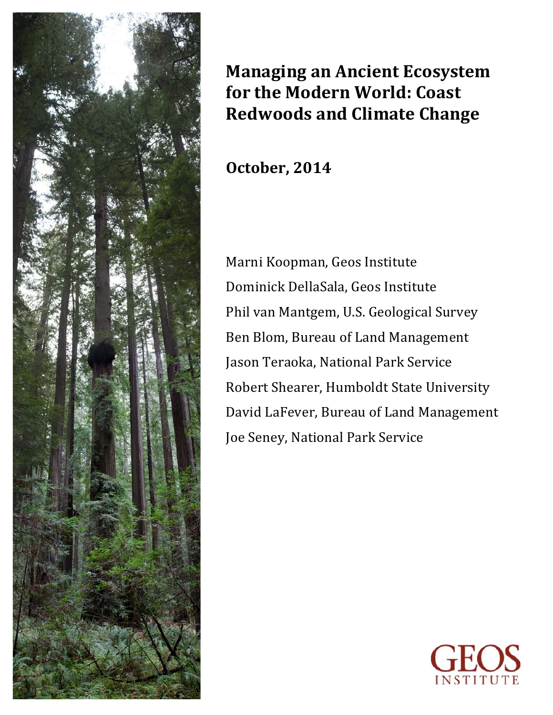

# **Managing an Ancient Ecosystem for the Modern World: Coast Redwoods and Climate Change**

**October, 2014**

Marni Koopman, Geos Institute Dominick DellaSala, Geos Institute Phil van Mantgem, U.S. Geological Survey Ben Blom, Bureau of Land Management Jason Teraoka, National Park Service Robert Shearer, Humboldt State University David LaFever, Bureau of Land Management Joe Seney, National Park Service

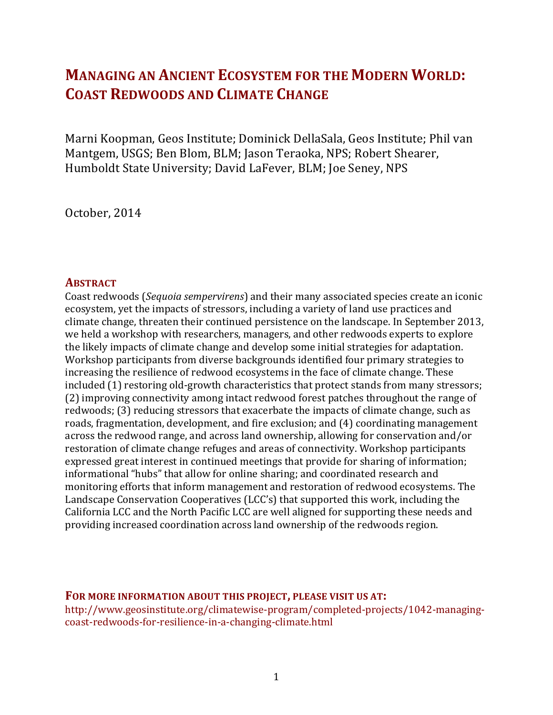# **MANAGING AN ANCIENT ECOSYSTEM FOR THE MODERN WORLD: COAST REDWOODS AND CLIMATE CHANGE**

Marni Koopman, Geos Institute; Dominick DellaSala, Geos Institute; Phil van Mantgem, USGS; Ben Blom, BLM; Jason Teraoka, NPS; Robert Shearer, Humboldt State University; David LaFever, BLM; Joe Seney, NPS

October, 2014

#### **ABSTRACT**

Coast redwoods (*Sequoia sempervirens*) and their many associated species create an iconic ecosystem, yet the impacts of stressors, including a variety of land use practices and climate change, threaten their continued persistence on the landscape. In September 2013, we held a workshop with researchers, managers, and other redwoods experts to explore the likely impacts of climate change and develop some initial strategies for adaptation. Workshop participants from diverse backgrounds identified four primary strategies to increasing the resilience of redwood ecosystems in the face of climate change. These included (1) restoring old-growth characteristics that protect stands from many stressors; (2) improving connectivity among intact redwood forest patches throughout the range of redwoods; (3) reducing stressors that exacerbate the impacts of climate change, such as roads, fragmentation, development, and fire exclusion; and (4) coordinating management across the redwood range, and across land ownership, allowing for conservation and/or restoration of climate change refuges and areas of connectivity. Workshop participants expressed great interest in continued meetings that provide for sharing of information; informational "hubs" that allow for online sharing; and coordinated research and monitoring efforts that inform management and restoration of redwood ecosystems. The Landscape Conservation Cooperatives (LCC's) that supported this work, including the California LCC and the North Pacific LCC are well aligned for supporting these needs and providing increased coordination across land ownership of the redwoods region.

#### **FOR MORE INFORMATION ABOUT THIS PROJECT, PLEASE VISIT US AT:**

http://www.geosinstitute.org/climatewise-program/completed-projects/1042-managingcoast-redwoods-for-resilience-in-a-changing-climate.html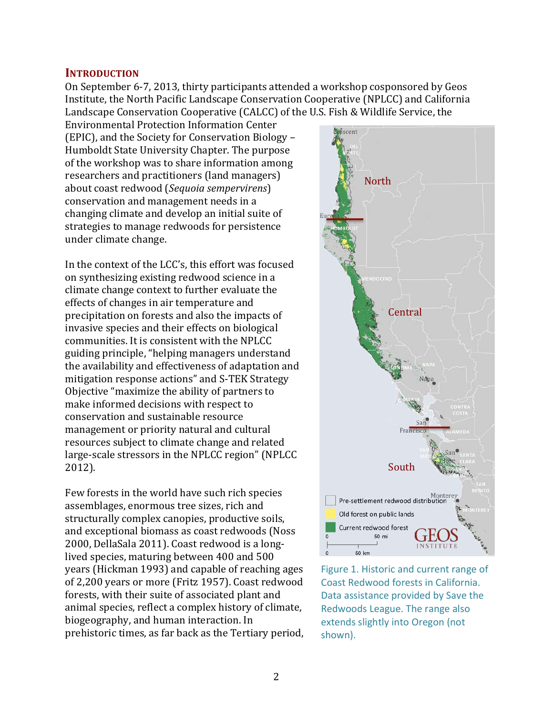#### **INTRODUCTION**

On September 6-7, 2013, thirty participants attended a workshop cosponsored by Geos Institute, the North Pacific Landscape Conservation Cooperative (NPLCC) and California Landscape Conservation Cooperative (CALCC) of the U.S. Fish & Wildlife Service, the

Environmental Protection Information Center (EPIC), and the Society for Conservation Biology – Humboldt State University Chapter. The purpose of the workshop was to share information among researchers and practitioners (land managers) about coast redwood (*Sequoia sempervirens*) conservation and management needs in a changing climate and develop an initial suite of strategies to manage redwoods for persistence under climate change.

In the context of the LCC's, this effort was focused on synthesizing existing redwood science in a climate change context to further evaluate the effects of changes in air temperature and precipitation on forests and also the impacts of invasive species and their effects on biological communities. It is consistent with the NPLCC guiding principle, "helping managers understand the availability and effectiveness of adaptation and mitigation response actions" and S-TEK Strategy Objective "maximize the ability of partners to make informed decisions with respect to conservation and sustainable resource management or priority natural and cultural resources subject to climate change and related large-scale stressors in the NPLCC region" (NPLCC 2012).

Few forests in the world have such rich species assemblages, enormous tree sizes, rich and structurally complex canopies, productive soils, and exceptional biomass as coast redwoods (Noss) 2000, DellaSala 2011). Coast redwood is a longlived species, maturing between 400 and 500 years (Hickman 1993) and capable of reaching ages of 2,200 years or more (Fritz 1957). Coast redwood forests, with their suite of associated plant and animal species, reflect a complex history of climate, biogeography, and human interaction. In prehistoric times, as far back as the Tertiary period,



Figure 1. Historic and current range of Coast Redwood forests in California. Data assistance provided by Save the Redwoods League. The range also extends slightly into Oregon (not shown).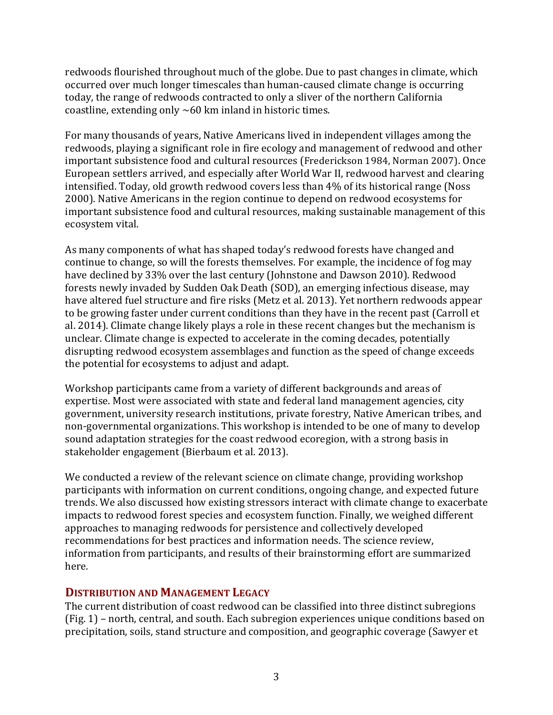redwoods flourished throughout much of the globe. Due to past changes in climate, which occurred over much longer timescales than human-caused climate change is occurring today, the range of redwoods contracted to only a sliver of the northern California coastline, extending only  $~60$  km inland in historic times.

For many thousands of vears, Native Americans lived in independent villages among the redwoods, playing a significant role in fire ecology and management of redwood and other important subsistence food and cultural resources (Frederickson 1984, Norman 2007). Once European settlers arrived, and especially after World War II, redwood harvest and clearing intensified. Today, old growth redwood covers less than 4% of its historical range (Noss 2000). Native Americans in the region continue to depend on redwood ecosystems for important subsistence food and cultural resources, making sustainable management of this ecosystem vital.

As many components of what has shaped today's redwood forests have changed and continue to change, so will the forests themselves. For example, the incidence of fog may have declined by 33% over the last century (Johnstone and Dawson 2010). Redwood forests newly invaded by Sudden Oak Death (SOD), an emerging infectious disease, may have altered fuel structure and fire risks (Metz et al. 2013). Yet northern redwoods appear to be growing faster under current conditions than they have in the recent past (Carroll et al. 2014). Climate change likely plays a role in these recent changes but the mechanism is unclear. Climate change is expected to accelerate in the coming decades, potentially disrupting redwood ecosystem assemblages and function as the speed of change exceeds the potential for ecosystems to adjust and adapt.

Workshop participants came from a variety of different backgrounds and areas of expertise. Most were associated with state and federal land management agencies, city government, university research institutions, private forestry, Native American tribes, and non-governmental organizations. This workshop is intended to be one of many to develop sound adaptation strategies for the coast redwood ecoregion, with a strong basis in stakeholder engagement (Bierbaum et al. 2013).

We conducted a review of the relevant science on climate change, providing workshop participants with information on current conditions, ongoing change, and expected future trends. We also discussed how existing stressors interact with climate change to exacerbate impacts to redwood forest species and ecosystem function. Finally, we weighed different approaches to managing redwoods for persistence and collectively developed recommendations for best practices and information needs. The science review, information from participants, and results of their brainstorming effort are summarized here. 

## **DISTRIBUTION AND MANAGEMENT LEGACY**

The current distribution of coast redwood can be classified into three distinct subregions  $(Fig. 1)$  – north, central, and south. Each subregion experiences unique conditions based on precipitation, soils, stand structure and composition, and geographic coverage (Sawyer et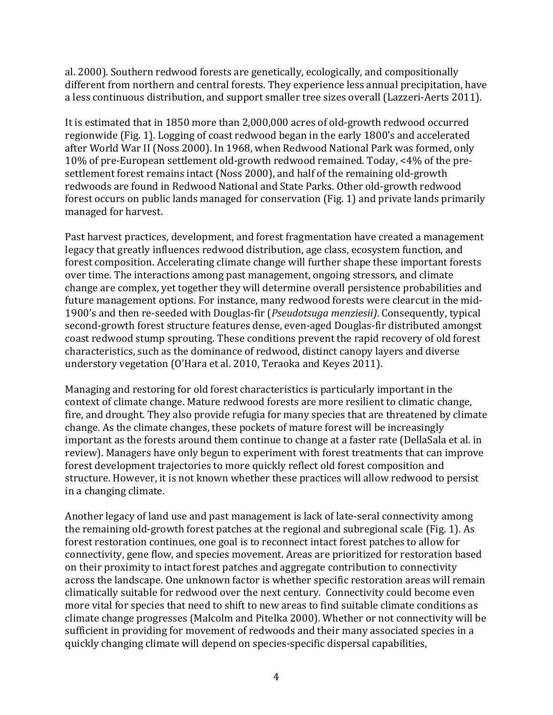al. 2000). Southern redwood forests are genetically, ecologically, and compositionally different from northern and central forests. They experience less annual precipitation, have a less continuous distribution, and support smaller tree sizes overall (Lazzeri-Aerts 2011).

It is estimated that in 1850 more than 2,000,000 acres of old-growth redwood occurred regionwide (Fig. 1). Logging of coast redwood began in the early 1800's and accelerated after World War II (Noss 2000). In 1968, when Redwood National Park was formed, only 10% of pre-European settlement old-growth redwood remained. Today, <4% of the presettlement forest remains intact (Noss 2000), and half of the remaining old-growth redwoods are found in Redwood National and State Parks. Other old-growth redwood forest occurs on public lands managed for conservation (Fig. 1) and private lands primarily managed for harvest.

Past harvest practices, development, and forest fragmentation have created a management legacy that greatly influences redwood distribution, age class, ecosystem function, and forest composition. Accelerating climate change will further shape these important forests over time. The interactions among past management, ongoing stressors, and climate change are complex, yet together they will determine overall persistence probabilities and future management options. For instance, many redwood forests were clearcut in the mid-1900's and then re-seeded with Douglas-fir (*Pseudotsuga menziesii*). Consequently, typical second-growth forest structure features dense, even-aged Douglas-fir distributed amongst coast redwood stump sprouting. These conditions prevent the rapid recovery of old forest characteristics, such as the dominance of redwood, distinct canopy layers and diverse understory vegetation (O'Hara et al. 2010, Teraoka and Keyes 2011).

Managing and restoring for old forest characteristics is particularly important in the context of climate change. Mature redwood forests are more resilient to climatic change, fire, and drought. They also provide refugia for many species that are threatened by climate change. As the climate changes, these pockets of mature forest will be increasingly important as the forests around them continue to change at a faster rate (DellaSala et al. in review). Managers have only begun to experiment with forest treatments that can improve forest development trajectories to more quickly reflect old forest composition and structure. However, it is not known whether these practices will allow redwood to persist in a changing climate.

Another legacy of land use and past management is lack of late-seral connectivity among the remaining old-growth forest patches at the regional and subregional scale (Fig. 1). As forest restoration continues, one goal is to reconnect intact forest patches to allow for connectivity, gene flow, and species movement. Areas are prioritized for restoration based on their proximity to intact forest patches and aggregate contribution to connectivity across the landscape. One unknown factor is whether specific restoration areas will remain climatically suitable for redwood over the next century. Connectivity could become even more vital for species that need to shift to new areas to find suitable climate conditions as climate change progresses (Malcolm and Pitelka 2000). Whether or not connectivity will be sufficient in providing for movement of redwoods and their many associated species in a quickly changing climate will depend on species-specific dispersal capabilities,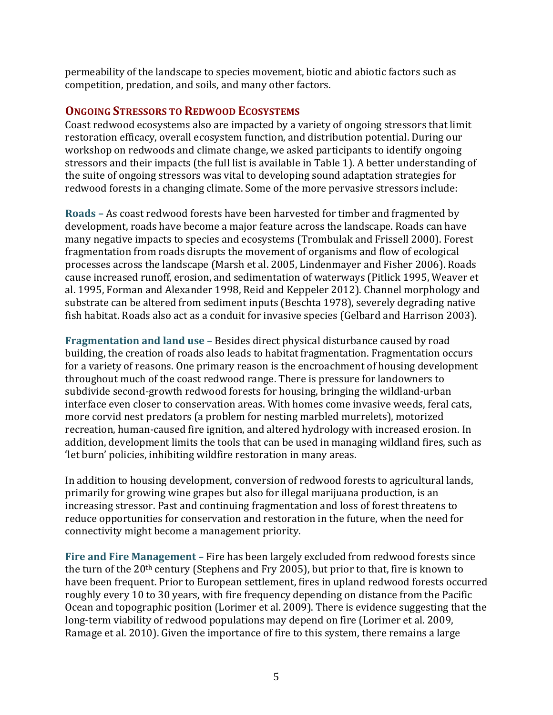permeability of the landscape to species movement, biotic and abiotic factors such as competition, predation, and soils, and many other factors.

# **ONGOING STRESSORS TO REDWOOD ECOSYSTEMS**

Coast redwood ecosystems also are impacted by a variety of ongoing stressors that limit restoration efficacy, overall ecosystem function, and distribution potential. During our workshop on redwoods and climate change, we asked participants to identify ongoing stressors and their impacts (the full list is available in Table 1). A better understanding of the suite of ongoing stressors was vital to developing sound adaptation strategies for redwood forests in a changing climate. Some of the more pervasive stressors include:

**Roads** – As coast redwood forests have been harvested for timber and fragmented by development, roads have become a major feature across the landscape. Roads can have many negative impacts to species and ecosystems (Trombulak and Frissell 2000). Forest fragmentation from roads disrupts the movement of organisms and flow of ecological processes across the landscape (Marsh et al. 2005, Lindenmayer and Fisher 2006). Roads cause increased runoff, erosion, and sedimentation of waterways (Pitlick 1995, Weaver et al. 1995, Forman and Alexander 1998, Reid and Keppeler 2012). Channel morphology and substrate can be altered from sediment inputs (Beschta 1978), severely degrading native fish habitat. Roads also act as a conduit for invasive species (Gelbard and Harrison 2003).

**Fragmentation and land use** – Besides direct physical disturbance caused by road building, the creation of roads also leads to habitat fragmentation. Fragmentation occurs for a variety of reasons. One primary reason is the encroachment of housing development throughout much of the coast redwood range. There is pressure for landowners to subdivide second-growth redwood forests for housing, bringing the wildland-urban interface even closer to conservation areas. With homes come invasive weeds, feral cats, more corvid nest predators (a problem for nesting marbled murrelets), motorized recreation, human-caused fire ignition, and altered hydrology with increased erosion. In addition, development limits the tools that can be used in managing wildland fires, such as 'let burn' policies, inhibiting wildfire restoration in many areas.

In addition to housing development, conversion of redwood forests to agricultural lands, primarily for growing wine grapes but also for illegal marijuana production, is an increasing stressor. Past and continuing fragmentation and loss of forest threatens to reduce opportunities for conservation and restoration in the future, when the need for connectivity might become a management priority.

**Fire and Fire Management** – Fire has been largely excluded from redwood forests since the turn of the  $20<sup>th</sup>$  century (Stephens and Fry 2005), but prior to that, fire is known to have been frequent. Prior to European settlement, fires in upland redwood forests occurred roughly every 10 to 30 years, with fire frequency depending on distance from the Pacific Ocean and topographic position (Lorimer et al. 2009). There is evidence suggesting that the long-term viability of redwood populations may depend on fire (Lorimer et al. 2009, Ramage et al. 2010). Given the importance of fire to this system, there remains a large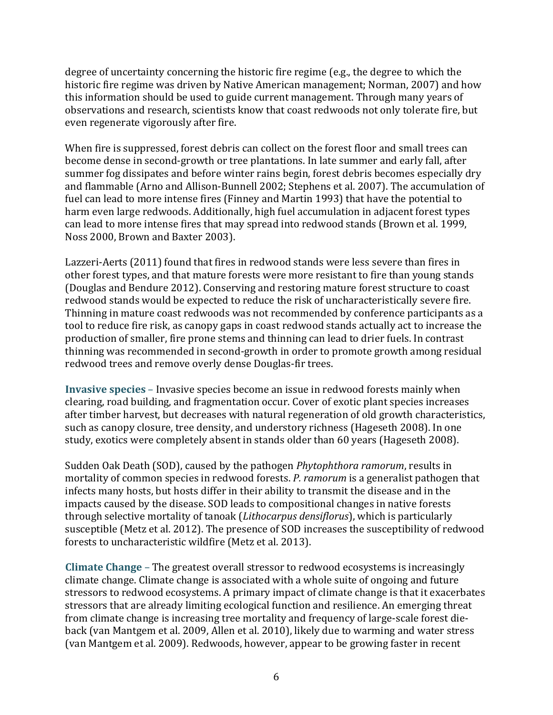degree of uncertainty concerning the historic fire regime (e.g., the degree to which the historic fire regime was driven by Native American management; Norman, 2007) and how this information should be used to guide current management. Through many years of observations and research, scientists know that coast redwoods not only tolerate fire, but even regenerate vigorously after fire.

When fire is suppressed, forest debris can collect on the forest floor and small trees can become dense in second-growth or tree plantations. In late summer and early fall, after summer fog dissipates and before winter rains begin, forest debris becomes especially dry and flammable (Arno and Allison-Bunnell 2002; Stephens et al. 2007). The accumulation of fuel can lead to more intense fires (Finney and Martin 1993) that have the potential to harm even large redwoods. Additionally, high fuel accumulation in adjacent forest types can lead to more intense fires that may spread into redwood stands (Brown et al. 1999, Noss 2000, Brown and Baxter 2003).

Lazzeri-Aerts (2011) found that fires in redwood stands were less severe than fires in other forest types, and that mature forests were more resistant to fire than young stands (Douglas and Bendure 2012). Conserving and restoring mature forest structure to coast redwood stands would be expected to reduce the risk of uncharacteristically severe fire. Thinning in mature coast redwoods was not recommended by conference participants as a tool to reduce fire risk, as canopy gaps in coast redwood stands actually act to increase the production of smaller, fire prone stems and thinning can lead to drier fuels. In contrast thinning was recommended in second-growth in order to promote growth among residual redwood trees and remove overly dense Douglas-fir trees.

**Invasive species** – Invasive species become an issue in redwood forests mainly when clearing, road building, and fragmentation occur. Cover of exotic plant species increases after timber harvest, but decreases with natural regeneration of old growth characteristics, such as canopy closure, tree density, and understory richness (Hageseth 2008). In one study, exotics were completely absent in stands older than 60 years (Hageseth 2008).

Sudden Oak Death (SOD), caused by the pathogen *Phytophthora ramorum*, results in mortality of common species in redwood forests. *P. ramorum* is a generalist pathogen that infects many hosts, but hosts differ in their ability to transmit the disease and in the impacts caused by the disease. SOD leads to compositional changes in native forests through selective mortality of tanoak (*Lithocarpus densiflorus*), which is particularly susceptible (Metz et al. 2012). The presence of SOD increases the susceptibility of redwood forests to uncharacteristic wildfire (Metz et al. 2013).

**Climate Change** – The greatest overall stressor to redwood ecosystems is increasingly climate change. Climate change is associated with a whole suite of ongoing and future stressors to redwood ecosystems. A primary impact of climate change is that it exacerbates stressors that are already limiting ecological function and resilience. An emerging threat from climate change is increasing tree mortality and frequency of large-scale forest dieback (van Mantgem et al. 2009, Allen et al. 2010), likely due to warming and water stress (van Mantgem et al. 2009). Redwoods, however, appear to be growing faster in recent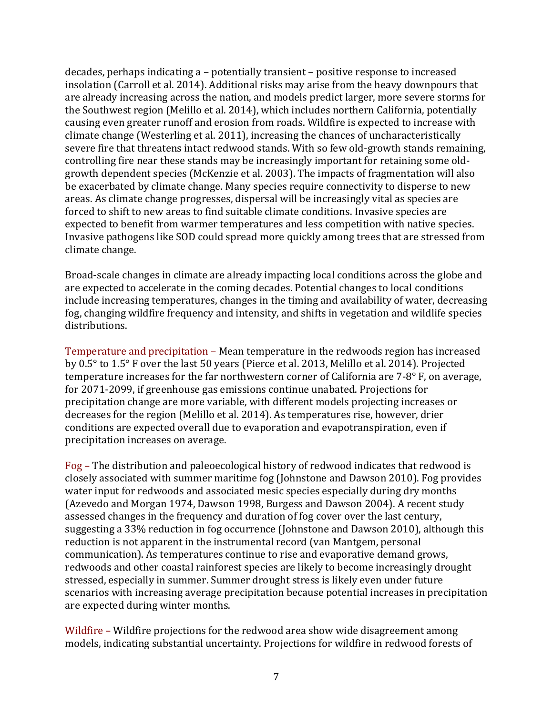decades, perhaps indicating a – potentially transient – positive response to increased insolation (Carroll et al. 2014). Additional risks may arise from the heavy downpours that are already increasing across the nation, and models predict larger, more severe storms for the Southwest region (Melillo et al. 2014), which includes northern California, potentially causing even greater runoff and erosion from roads. Wildfire is expected to increase with climate change (Westerling et al. 2011), increasing the chances of uncharacteristically severe fire that threatens intact redwood stands. With so few old-growth stands remaining, controlling fire near these stands may be increasingly important for retaining some oldgrowth dependent species (McKenzie et al. 2003). The impacts of fragmentation will also be exacerbated by climate change. Many species require connectivity to disperse to new areas. As climate change progresses, dispersal will be increasingly vital as species are forced to shift to new areas to find suitable climate conditions. Invasive species are expected to benefit from warmer temperatures and less competition with native species. Invasive pathogens like SOD could spread more quickly among trees that are stressed from climate change.

Broad-scale changes in climate are already impacting local conditions across the globe and are expected to accelerate in the coming decades. Potential changes to local conditions include increasing temperatures, changes in the timing and availability of water, decreasing fog, changing wildfire frequency and intensity, and shifts in vegetation and wildlife species distributions. 

Temperature and precipitation – Mean temperature in the redwoods region has increased by  $0.5^\circ$  to  $1.5^\circ$  F over the last  $50$  years (Pierce et al. 2013, Melillo et al. 2014). Projected temperature increases for the far northwestern corner of California are  $7-8^\circ$  F, on average, for 2071-2099, if greenhouse gas emissions continue unabated. Projections for precipitation change are more variable, with different models projecting increases or decreases for the region (Melillo et al. 2014). As temperatures rise, however, drier conditions are expected overall due to evaporation and evapotranspiration, even if precipitation increases on average.

Fog – The distribution and paleoecological history of redwood indicates that redwood is closely associated with summer maritime fog (Johnstone and Dawson 2010). Fog provides water input for redwoods and associated mesic species especially during dry months (Azevedo and Morgan 1974, Dawson 1998, Burgess and Dawson 2004). A recent study assessed changes in the frequency and duration of fog cover over the last century, suggesting a 33% reduction in fog occurrence (Johnstone and Dawson 2010), although this reduction is not apparent in the instrumental record (van Mantgem, personal communication). As temperatures continue to rise and evaporative demand grows, redwoods and other coastal rainforest species are likely to become increasingly drought stressed, especially in summer. Summer drought stress is likely even under future scenarios with increasing average precipitation because potential increases in precipitation are expected during winter months.

Wildfire – Wildfire projections for the redwood area show wide disagreement among models, indicating substantial uncertainty. Projections for wildfire in redwood forests of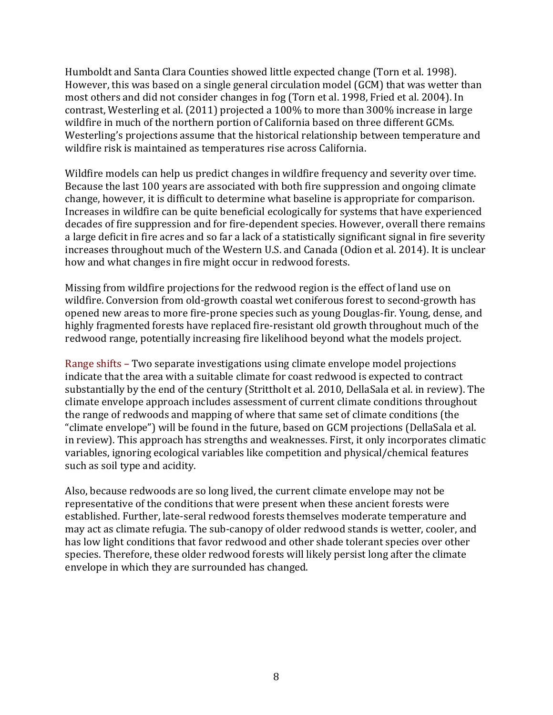Humboldt and Santa Clara Counties showed little expected change (Torn et al. 1998). However, this was based on a single general circulation model (GCM) that was wetter than most others and did not consider changes in fog (Torn et al. 1998, Fried et al. 2004). In contrast, Westerling et al. (2011) projected a 100% to more than 300% increase in large wildfire in much of the northern portion of California based on three different GCMs. Westerling's projections assume that the historical relationship between temperature and wildfire risk is maintained as temperatures rise across California.

Wildfire models can help us predict changes in wildfire frequency and severity over time. Because the last 100 years are associated with both fire suppression and ongoing climate change, however, it is difficult to determine what baseline is appropriate for comparison. Increases in wildfire can be quite beneficial ecologically for systems that have experienced decades of fire suppression and for fire-dependent species. However, overall there remains a large deficit in fire acres and so far a lack of a statistically significant signal in fire severity increases throughout much of the Western U.S. and Canada (Odion et al. 2014). It is unclear how and what changes in fire might occur in redwood forests.

Missing from wildfire projections for the redwood region is the effect of land use on wildfire. Conversion from old-growth coastal wet coniferous forest to second-growth has opened new areas to more fire-prone species such as young Douglas-fir. Young, dense, and highly fragmented forests have replaced fire-resistant old growth throughout much of the redwood range, potentially increasing fire likelihood beyond what the models project.

Range shifts – Two separate investigations using climate envelope model projections indicate that the area with a suitable climate for coast redwood is expected to contract substantially by the end of the century (Strittholt et al. 2010, DellaSala et al. in review). The climate envelope approach includes assessment of current climate conditions throughout the range of redwoods and mapping of where that same set of climate conditions (the "climate envelope") will be found in the future, based on GCM projections (DellaSala et al. in review). This approach has strengths and weaknesses. First, it only incorporates climatic variables, ignoring ecological variables like competition and physical/chemical features such as soil type and acidity.

Also, because redwoods are so long lived, the current climate envelope may not be representative of the conditions that were present when these ancient forests were established. Further, late-seral redwood forests themselves moderate temperature and may act as climate refugia. The sub-canopy of older redwood stands is wetter, cooler, and has low light conditions that favor redwood and other shade tolerant species over other species. Therefore, these older redwood forests will likely persist long after the climate envelope in which they are surrounded has changed.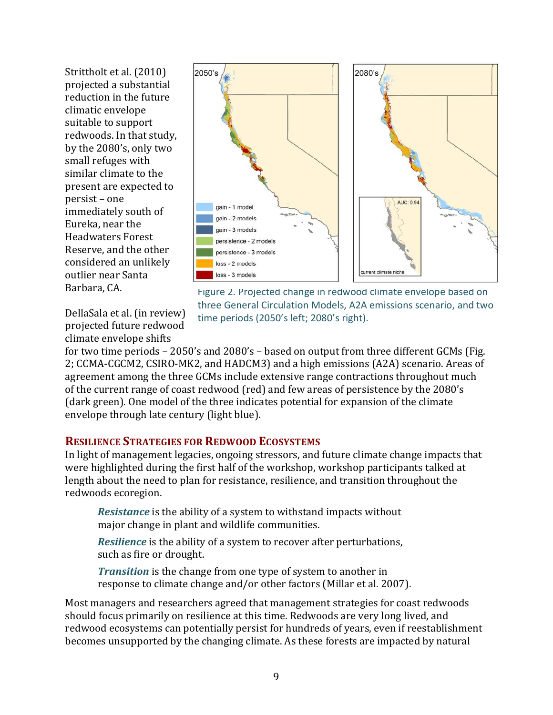Strittholt et al. (2010) projected a substantial reduction in the future climatic envelope suitable to support redwoods. In that study, by the 2080's, only two small refuges with similar climate to the present are expected to persist – one immediately south of Eureka, near the Headwaters Forest Reserve, and the other considered an unlikely outlier near Santa Barbara, CA.



DellaSala et al. (in review) projected future redwood climate envelope shifts

Figure 2. Projected change in redwood climate envelope based on three General Circulation Models, A2A emissions scenario, and two time periods (2050's left; 2080's right).

for two time periods  $- 2050$ 's and  $2080$ 's  $-$  based on output from three different GCMs (Fig. 2; CCMA-CGCM2, CSIRO-MK2, and HADCM3) and a high emissions (A2A) scenario. Areas of agreement among the three GCMs include extensive range contractions throughout much of the current range of coast redwood (red) and few areas of persistence by the 2080's (dark green). One model of the three indicates potential for expansion of the climate envelope through late century (light blue).

## **RESILIENCE STRATEGIES FOR REDWOOD ECOSYSTEMS**

In light of management legacies, ongoing stressors, and future climate change impacts that were highlighted during the first half of the workshop, workshop participants talked at length about the need to plan for resistance, resilience, and transition throughout the redwoods ecoregion.

*Resistance* is the ability of a system to withstand impacts without major change in plant and wildlife communities.

*Resilience* is the ability of a system to recover after perturbations, such as fire or drought.

*Transition* is the change from one type of system to another in response to climate change and/or other factors (Millar et al. 2007).

Most managers and researchers agreed that management strategies for coast redwoods should focus primarily on resilience at this time. Redwoods are very long lived, and redwood ecosystems can potentially persist for hundreds of years, even if reestablishment becomes unsupported by the changing climate. As these forests are impacted by natural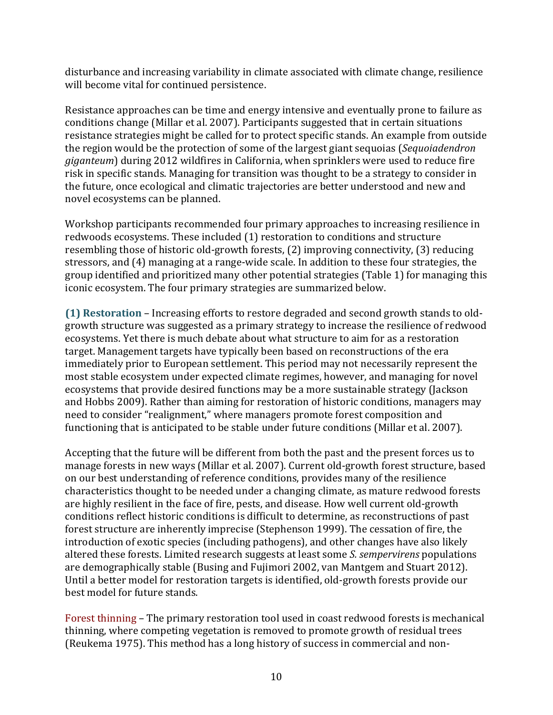disturbance and increasing variability in climate associated with climate change, resilience will become vital for continued persistence.

Resistance approaches can be time and energy intensive and eventually prone to failure as conditions change (Millar et al. 2007). Participants suggested that in certain situations resistance strategies might be called for to protect specific stands. An example from outside the region would be the protection of some of the largest giant sequoias (*Sequoiadendron*) *giganteum*) during 2012 wildfires in California, when sprinklers were used to reduce fire risk in specific stands. Managing for transition was thought to be a strategy to consider in the future, once ecological and climatic trajectories are better understood and new and novel ecosystems can be planned.

Workshop participants recommended four primary approaches to increasing resilience in redwoods ecosystems. These included (1) restoration to conditions and structure resembling those of historic old-growth forests,  $(2)$  improving connectivity,  $(3)$  reducing stressors, and (4) managing at a range-wide scale. In addition to these four strategies, the group identified and prioritized many other potential strategies (Table 1) for managing this iconic ecosystem. The four primary strategies are summarized below.

**(1) Restoration** – Increasing efforts to restore degraded and second growth stands to oldgrowth structure was suggested as a primary strategy to increase the resilience of redwood ecosystems. Yet there is much debate about what structure to aim for as a restoration target. Management targets have typically been based on reconstructions of the era immediately prior to European settlement. This period may not necessarily represent the most stable ecosystem under expected climate regimes, however, and managing for novel ecosystems that provide desired functions may be a more sustainable strategy (Jackson and Hobbs 2009). Rather than aiming for restoration of historic conditions, managers may need to consider "realignment," where managers promote forest composition and functioning that is anticipated to be stable under future conditions (Millar et al. 2007).

Accepting that the future will be different from both the past and the present forces us to manage forests in new ways (Millar et al. 2007). Current old-growth forest structure, based on our best understanding of reference conditions, provides many of the resilience characteristics thought to be needed under a changing climate, as mature redwood forests are highly resilient in the face of fire, pests, and disease. How well current old-growth conditions reflect historic conditions is difficult to determine, as reconstructions of past forest structure are inherently imprecise (Stephenson 1999). The cessation of fire, the introduction of exotic species (including pathogens), and other changes have also likely altered these forests. Limited research suggests at least some *S. sempervirens* populations are demographically stable (Busing and Fujimori 2002, van Mantgem and Stuart 2012). Until a better model for restoration targets is identified, old-growth forests provide our best model for future stands.

Forest thinning – The primary restoration tool used in coast redwood forests is mechanical thinning, where competing vegetation is removed to promote growth of residual trees (Reukema 1975). This method has a long history of success in commercial and non-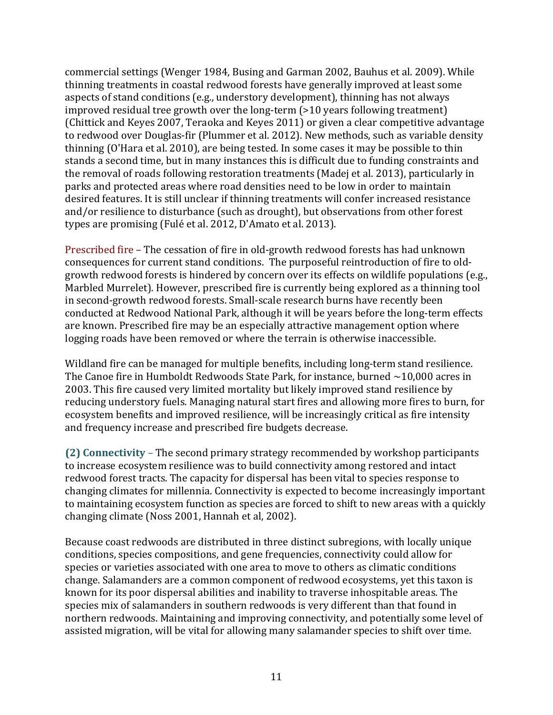commercial settings (Wenger 1984, Busing and Garman 2002, Bauhus et al. 2009). While thinning treatments in coastal redwood forests have generally improved at least some aspects of stand conditions (e.g., understory development), thinning has not always  $improved$  residual tree growth over the long-term  $(>10$  years following treatment) (Chittick and Keyes 2007, Teraoka and Keyes 2011) or given a clear competitive advantage to redwood over Douglas-fir (Plummer et al. 2012). New methods, such as variable density thinning  $(0'$ Hara et al. 2010), are being tested. In some cases it may be possible to thin stands a second time, but in many instances this is difficult due to funding constraints and the removal of roads following restoration treatments (Madej et al. 2013), particularly in parks and protected areas where road densities need to be low in order to maintain desired features. It is still unclear if thinning treatments will confer increased resistance and/or resilience to disturbance (such as drought), but observations from other forest types are promising (Fulé et al. 2012, D'Amato et al. 2013).

Prescribed fire – The cessation of fire in old-growth redwood forests has had unknown consequences for current stand conditions. The purposeful reintroduction of fire to oldgrowth redwood forests is hindered by concern over its effects on wildlife populations (e.g., Marbled Murrelet). However, prescribed fire is currently being explored as a thinning tool in second-growth redwood forests. Small-scale research burns have recently been conducted at Redwood National Park, although it will be years before the long-term effects are known. Prescribed fire may be an especially attractive management option where logging roads have been removed or where the terrain is otherwise inaccessible.

Wildland fire can be managed for multiple benefits, including long-term stand resilience. The Canoe fire in Humboldt Redwoods State Park, for instance, burned  $\sim$ 10,000 acres in 2003. This fire caused very limited mortality but likely improved stand resilience by reducing understory fuels. Managing natural start fires and allowing more fires to burn, for ecosystem benefits and improved resilience, will be increasingly critical as fire intensity and frequency increase and prescribed fire budgets decrease.

**(2) Connectivity** – The second primary strategy recommended by workshop participants to increase ecosystem resilience was to build connectivity among restored and intact redwood forest tracts. The capacity for dispersal has been vital to species response to changing climates for millennia. Connectivity is expected to become increasingly important to maintaining ecosystem function as species are forced to shift to new areas with a quickly changing climate (Noss 2001, Hannah et al, 2002).

Because coast redwoods are distributed in three distinct subregions, with locally unique conditions, species compositions, and gene frequencies, connectivity could allow for species or varieties associated with one area to move to others as climatic conditions change. Salamanders are a common component of redwood ecosystems, yet this taxon is known for its poor dispersal abilities and inability to traverse inhospitable areas. The species mix of salamanders in southern redwoods is very different than that found in northern redwoods. Maintaining and improving connectivity, and potentially some level of assisted migration, will be vital for allowing many salamander species to shift over time.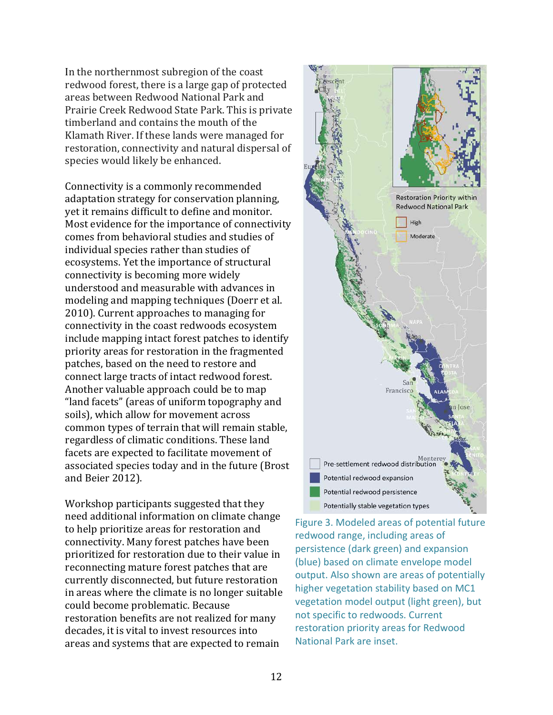In the northernmost subregion of the coast redwood forest, there is a large gap of protected areas between Redwood National Park and Prairie Creek Redwood State Park. This is private timberland and contains the mouth of the Klamath River. If these lands were managed for restoration, connectivity and natural dispersal of species would likely be enhanced.

Connectivity is a commonly recommended adaptation strategy for conservation planning, yet it remains difficult to define and monitor. Most evidence for the importance of connectivity comes from behavioral studies and studies of individual species rather than studies of ecosystems. Yet the importance of structural connectivity is becoming more widely understood and measurable with advances in modeling and mapping techniques (Doerr et al. 2010). Current approaches to managing for connectivity in the coast redwoods ecosystem include mapping intact forest patches to identify priority areas for restoration in the fragmented patches, based on the need to restore and connect large tracts of intact redwood forest. Another valuable approach could be to map "land facets" (areas of uniform topography and soils), which allow for movement across common types of terrain that will remain stable, regardless of climatic conditions. These land facets are expected to facilitate movement of associated species today and in the future (Brost and Beier 2012).

Workshop participants suggested that they need additional information on climate change to help prioritize areas for restoration and connectivity. Many forest patches have been prioritized for restoration due to their value in reconnecting mature forest patches that are currently disconnected, but future restoration in areas where the climate is no longer suitable could become problematic. Because restoration benefits are not realized for many decades, it is vital to invest resources into areas and systems that are expected to remain



Figure 3. Modeled areas of potential future redwood range, including areas of persistence (dark green) and expansion (blue) based on climate envelope model output. Also shown are areas of potentially higher vegetation stability based on MC1 vegetation model output (light green), but not specific to redwoods. Current restoration priority areas for Redwood National Park are inset.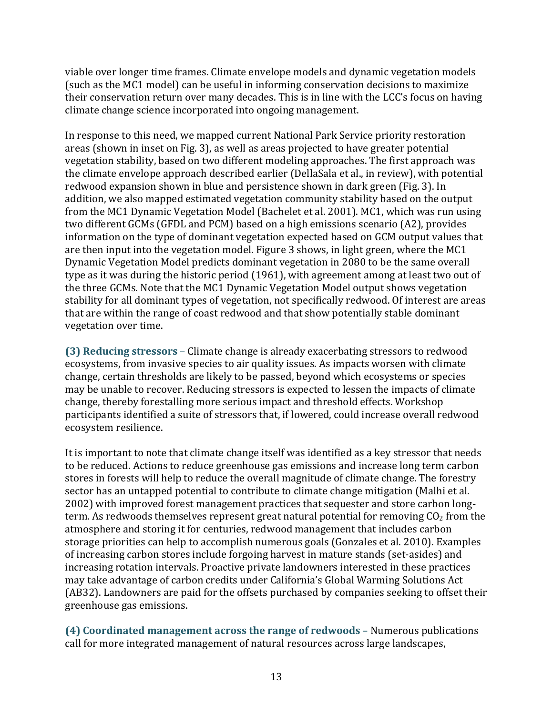viable over longer time frames. Climate envelope models and dynamic vegetation models (such as the MC1 model) can be useful in informing conservation decisions to maximize their conservation return over many decades. This is in line with the LCC's focus on having climate change science incorporated into ongoing management.

In response to this need, we mapped current National Park Service priority restoration areas (shown in inset on Fig. 3), as well as areas projected to have greater potential vegetation stability, based on two different modeling approaches. The first approach was the climate envelope approach described earlier (DellaSala et al., in review), with potential redwood expansion shown in blue and persistence shown in dark green (Fig. 3). In addition, we also mapped estimated vegetation community stability based on the output from the MC1 Dynamic Vegetation Model (Bachelet et al. 2001). MC1, which was run using two different GCMs (GFDL and PCM) based on a high emissions scenario (A2), provides information on the type of dominant vegetation expected based on GCM output values that are then input into the vegetation model. Figure  $3$  shows, in light green, where the MC1 Dynamic Vegetation Model predicts dominant vegetation in 2080 to be the same overall type as it was during the historic period (1961), with agreement among at least two out of the three GCMs. Note that the MC1 Dynamic Vegetation Model output shows vegetation stability for all dominant types of vegetation, not specifically redwood. Of interest are areas that are within the range of coast redwood and that show potentially stable dominant vegetation over time.

**(3) Reducing stressors** – Climate change is already exacerbating stressors to redwood ecosystems, from invasive species to air quality issues. As impacts worsen with climate change, certain thresholds are likely to be passed, beyond which ecosystems or species may be unable to recover. Reducing stressors is expected to lessen the impacts of climate change, thereby forestalling more serious impact and threshold effects. Workshop participants identified a suite of stressors that, if lowered, could increase overall redwood ecosystem resilience. 

It is important to note that climate change itself was identified as a key stressor that needs to be reduced. Actions to reduce greenhouse gas emissions and increase long term carbon stores in forests will help to reduce the overall magnitude of climate change. The forestry sector has an untapped potential to contribute to climate change mitigation (Malhi et al. 2002) with improved forest management practices that sequester and store carbon longterm. As redwoods themselves represent great natural potential for removing  $CO<sub>2</sub>$  from the atmosphere and storing it for centuries, redwood management that includes carbon storage priorities can help to accomplish numerous goals (Gonzales et al. 2010). Examples of increasing carbon stores include forgoing harvest in mature stands (set-asides) and increasing rotation intervals. Proactive private landowners interested in these practices may take advantage of carbon credits under California's Global Warming Solutions Act (AB32). Landowners are paid for the offsets purchased by companies seeking to offset their greenhouse gas emissions.

**(4) Coordinated management across the range of redwoods** – Numerous publications call for more integrated management of natural resources across large landscapes,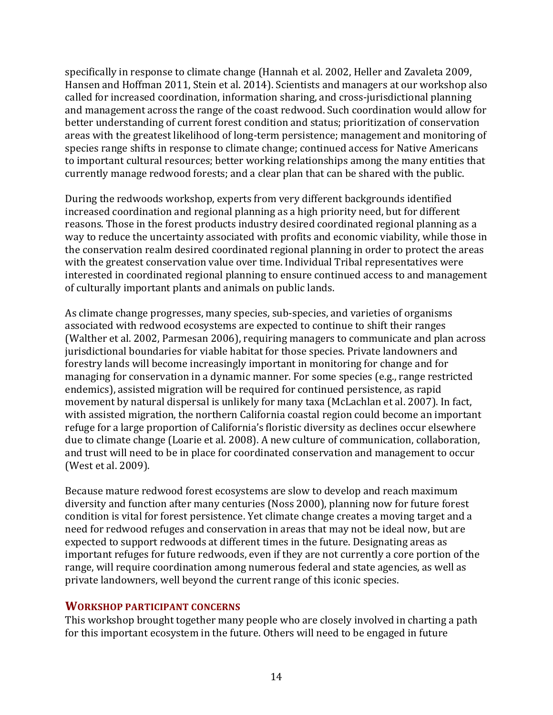specifically in response to climate change (Hannah et al. 2002, Heller and Zavaleta 2009, Hansen and Hoffman 2011, Stein et al. 2014). Scientists and managers at our workshop also called for increased coordination, information sharing, and cross-jurisdictional planning and management across the range of the coast redwood. Such coordination would allow for better understanding of current forest condition and status; prioritization of conservation areas with the greatest likelihood of long-term persistence; management and monitoring of species range shifts in response to climate change; continued access for Native Americans to important cultural resources; better working relationships among the many entities that currently manage redwood forests; and a clear plan that can be shared with the public.

During the redwoods workshop, experts from very different backgrounds identified increased coordination and regional planning as a high priority need, but for different reasons. Those in the forest products industry desired coordinated regional planning as a way to reduce the uncertainty associated with profits and economic viability, while those in the conservation realm desired coordinated regional planning in order to protect the areas with the greatest conservation value over time. Individual Tribal representatives were interested in coordinated regional planning to ensure continued access to and management of culturally important plants and animals on public lands.

As climate change progresses, many species, sub-species, and varieties of organisms associated with redwood ecosystems are expected to continue to shift their ranges (Walther et al. 2002, Parmesan 2006), requiring managers to communicate and plan across jurisdictional boundaries for viable habitat for those species. Private landowners and forestry lands will become increasingly important in monitoring for change and for managing for conservation in a dynamic manner. For some species (e.g., range restricted endemics), assisted migration will be required for continued persistence, as rapid movement by natural dispersal is unlikely for many taxa (McLachlan et al. 2007). In fact, with assisted migration, the northern California coastal region could become an important refuge for a large proportion of California's floristic diversity as declines occur elsewhere due to climate change (Loarie et al. 2008). A new culture of communication, collaboration, and trust will need to be in place for coordinated conservation and management to occur (West et al. 2009).

Because mature redwood forest ecosystems are slow to develop and reach maximum diversity and function after many centuries (Noss 2000), planning now for future forest condition is vital for forest persistence. Yet climate change creates a moving target and a need for redwood refuges and conservation in areas that may not be ideal now, but are expected to support redwoods at different times in the future. Designating areas as important refuges for future redwoods, even if they are not currently a core portion of the range, will require coordination among numerous federal and state agencies, as well as private landowners, well beyond the current range of this iconic species.

#### **WORKSHOP PARTICIPANT CONCERNS**

This workshop brought together many people who are closely involved in charting a path for this important ecosystem in the future. Others will need to be engaged in future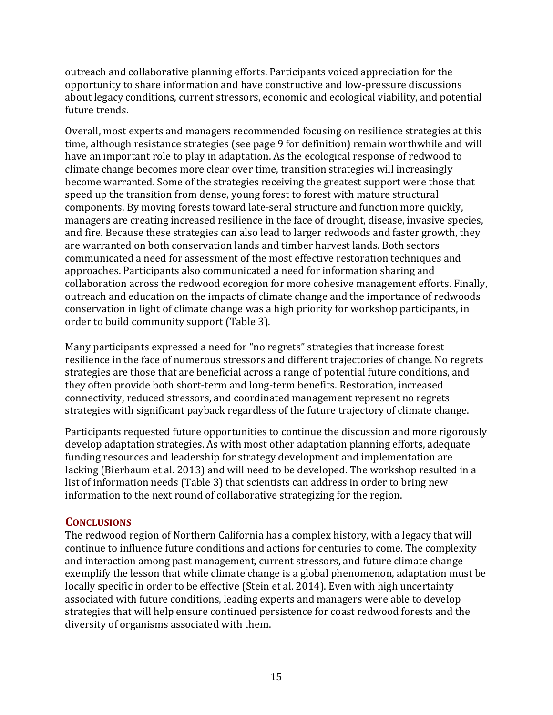outreach and collaborative planning efforts. Participants voiced appreciation for the opportunity to share information and have constructive and low-pressure discussions about legacy conditions, current stressors, economic and ecological viability, and potential future trends.

Overall, most experts and managers recommended focusing on resilience strategies at this time, although resistance strategies (see page 9 for definition) remain worthwhile and will have an important role to play in adaptation. As the ecological response of redwood to climate change becomes more clear over time, transition strategies will increasingly become warranted. Some of the strategies receiving the greatest support were those that speed up the transition from dense, young forest to forest with mature structural components. By moving forests toward late-seral structure and function more quickly, managers are creating increased resilience in the face of drought, disease, invasive species, and fire. Because these strategies can also lead to larger redwoods and faster growth, they are warranted on both conservation lands and timber harvest lands. Both sectors communicated a need for assessment of the most effective restoration techniques and approaches. Participants also communicated a need for information sharing and collaboration across the redwood ecoregion for more cohesive management efforts. Finally, outreach and education on the impacts of climate change and the importance of redwoods conservation in light of climate change was a high priority for workshop participants, in order to build community support (Table 3).

Many participants expressed a need for "no regrets" strategies that increase forest resilience in the face of numerous stressors and different trajectories of change. No regrets strategies are those that are beneficial across a range of potential future conditions, and they often provide both short-term and long-term benefits. Restoration, increased connectivity, reduced stressors, and coordinated management represent no regrets strategies with significant payback regardless of the future trajectory of climate change.

Participants requested future opportunities to continue the discussion and more rigorously develop adaptation strategies. As with most other adaptation planning efforts, adequate funding resources and leadership for strategy development and implementation are lacking (Bierbaum et al. 2013) and will need to be developed. The workshop resulted in a list of information needs (Table 3) that scientists can address in order to bring new information to the next round of collaborative strategizing for the region.

# **CONCLUSIONS**

The redwood region of Northern California has a complex history, with a legacy that will continue to influence future conditions and actions for centuries to come. The complexity and interaction among past management, current stressors, and future climate change exemplify the lesson that while climate change is a global phenomenon, adaptation must be locally specific in order to be effective (Stein et al. 2014). Even with high uncertainty associated with future conditions, leading experts and managers were able to develop strategies that will help ensure continued persistence for coast redwood forests and the diversity of organisms associated with them.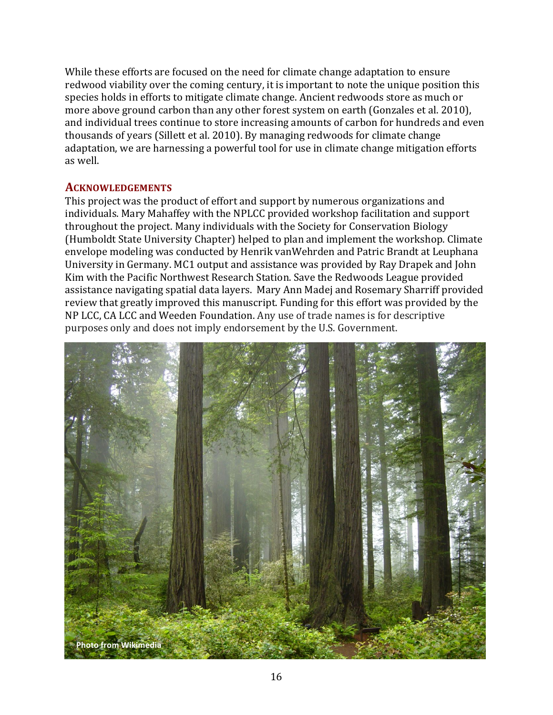While these efforts are focused on the need for climate change adaptation to ensure redwood viability over the coming century, it is important to note the unique position this species holds in efforts to mitigate climate change. Ancient redwoods store as much or more above ground carbon than any other forest system on earth (Gonzales et al. 2010), and individual trees continue to store increasing amounts of carbon for hundreds and even thousands of years (Sillett et al. 2010). By managing redwoods for climate change adaptation, we are harnessing a powerful tool for use in climate change mitigation efforts as well. 

#### **ACKNOWLEDGEMENTS**

This project was the product of effort and support by numerous organizations and individuals. Mary Mahaffey with the NPLCC provided workshop facilitation and support throughout the project. Many individuals with the Society for Conservation Biology (Humboldt State University Chapter) helped to plan and implement the workshop. Climate envelope modeling was conducted by Henrik vanWehrden and Patric Brandt at Leuphana University in Germany. MC1 output and assistance was provided by Ray Drapek and John Kim with the Pacific Northwest Research Station. Save the Redwoods League provided assistance navigating spatial data layers. Mary Ann Madej and Rosemary Sharriff provided review that greatly improved this manuscript. Funding for this effort was provided by the NP LCC, CA LCC and Weeden Foundation. Any use of trade names is for descriptive purposes only and does not imply endorsement by the U.S. Government.

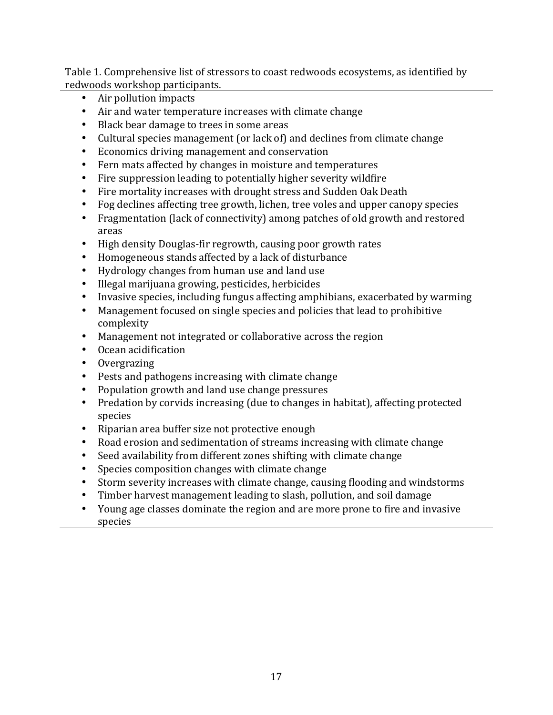Table 1. Comprehensive list of stressors to coast redwoods ecosystems, as identified by redwoods workshop participants.

- Air pollution impacts
- Air and water temperature increases with climate change
- Black bear damage to trees in some areas
- Cultural species management (or lack of) and declines from climate change
- Economics driving management and conservation
- Fern mats affected by changes in moisture and temperatures
- Fire suppression leading to potentially higher severity wildfire
- Fire mortality increases with drought stress and Sudden Oak Death
- Fog declines affecting tree growth, lichen, tree voles and upper canopy species
- Fragmentation (lack of connectivity) among patches of old growth and restored areas
- High density Douglas-fir regrowth, causing poor growth rates
- Homogeneous stands affected by a lack of disturbance
- Hydrology changes from human use and land use
- Illegal marijuana growing, pesticides, herbicides
- Invasive species, including fungus affecting amphibians, exacerbated by warming
- Management focused on single species and policies that lead to prohibitive complexity
- Management not integrated or collaborative across the region
- Ocean acidification
- Overgrazing
- Pests and pathogens increasing with climate change
- Population growth and land use change pressures
- Predation by corvids increasing (due to changes in habitat), affecting protected species
- Riparian area buffer size not protective enough
- Road erosion and sedimentation of streams increasing with climate change
- Seed availability from different zones shifting with climate change
- Species composition changes with climate change
- Storm severity increases with climate change, causing flooding and windstorms
- Timber harvest management leading to slash, pollution, and soil damage
- Young age classes dominate the region and are more prone to fire and invasive species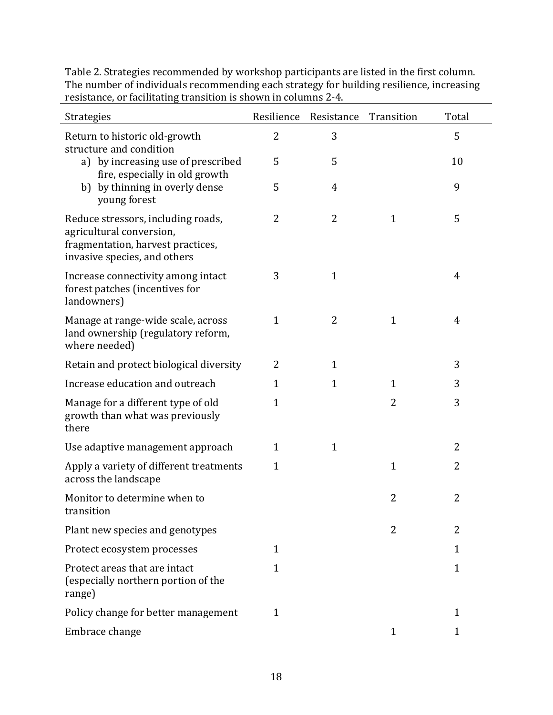| Strategies                                                                                                                          | Resilience     | Resistance     | Transition     | Total        |
|-------------------------------------------------------------------------------------------------------------------------------------|----------------|----------------|----------------|--------------|
| Return to historic old-growth<br>structure and condition                                                                            | 2              | 3              |                | 5            |
| a) by increasing use of prescribed<br>fire, especially in old growth                                                                | 5              | 5              |                | 10           |
| b) by thinning in overly dense<br>young forest                                                                                      | 5              | $\overline{4}$ |                | 9            |
| Reduce stressors, including roads,<br>agricultural conversion,<br>fragmentation, harvest practices,<br>invasive species, and others | 2              | 2              | $\mathbf{1}$   | 5            |
| Increase connectivity among intact<br>forest patches (incentives for<br>landowners)                                                 | 3              | $\mathbf{1}$   |                | 4            |
| Manage at range-wide scale, across<br>land ownership (regulatory reform,<br>where needed)                                           | $\mathbf{1}$   | 2              | $\mathbf{1}$   | 4            |
| Retain and protect biological diversity                                                                                             | $\overline{2}$ | $\mathbf{1}$   |                | 3            |
| Increase education and outreach                                                                                                     | $\mathbf{1}$   | $\mathbf{1}$   | $\mathbf{1}$   | 3            |
| Manage for a different type of old<br>growth than what was previously<br>there                                                      | $\mathbf{1}$   |                | $\overline{2}$ | 3            |
| Use adaptive management approach                                                                                                    | $\mathbf 1$    | $\mathbf{1}$   |                | 2            |
| Apply a variety of different treatments<br>across the landscape                                                                     | $\mathbf{1}$   |                | 1              | 2            |
| Monitor to determine when to<br>transition                                                                                          |                |                | 2              | 2            |
| Plant new species and genotypes                                                                                                     |                |                | 2              | 2            |
| Protect ecosystem processes                                                                                                         | $\mathbf{1}$   |                |                | $\mathbf{1}$ |
| Protect areas that are intact<br>(especially northern portion of the<br>range)                                                      | $\mathbf{1}$   |                |                | $\mathbf{1}$ |
| Policy change for better management                                                                                                 | $\mathbf{1}$   |                |                | 1            |
| Embrace change                                                                                                                      |                |                | 1              | 1            |

Table 2. Strategies recommended by workshop participants are listed in the first column. The number of individuals recommending each strategy for building resilience, increasing resistance, or facilitating transition is shown in columns 2-4.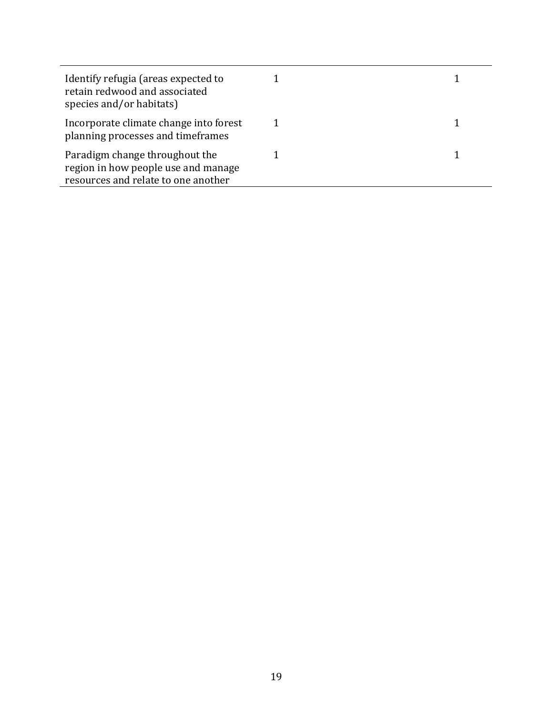| Identify refugia (areas expected to<br>retain redwood and associated<br>species and/or habitats)             |  |
|--------------------------------------------------------------------------------------------------------------|--|
| Incorporate climate change into forest<br>planning processes and timeframes                                  |  |
| Paradigm change throughout the<br>region in how people use and manage<br>resources and relate to one another |  |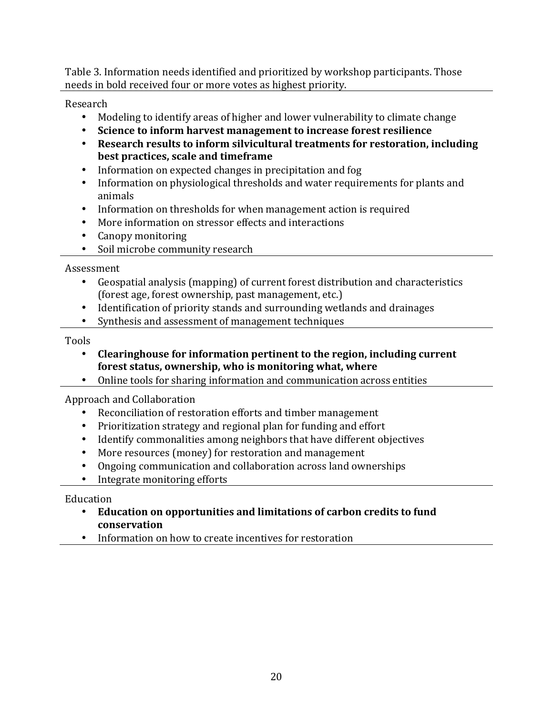Table 3. Information needs identified and prioritized by workshop participants. Those needs in bold received four or more votes as highest priority.

Research

- Modeling to identify areas of higher and lower vulnerability to climate change
- Science to inform harvest management to increase forest resilience
- Research results to inform silvicultural treatments for restoration, including **best practices, scale and timeframe**
- Information on expected changes in precipitation and fog
- Information on physiological thresholds and water requirements for plants and animals
- Information on thresholds for when management action is required
- More information on stressor effects and interactions
- Canopy monitoring
- Soil microbe community research

Assessment

- Geospatial analysis (mapping) of current forest distribution and characteristics (forest age, forest ownership, past management, etc.)
- Identification of priority stands and surrounding wetlands and drainages
- Synthesis and assessment of management techniques

Tools

- Clearinghouse for information pertinent to the region, including current forest status, ownership, who is monitoring what, where
- Online tools for sharing information and communication across entities

Approach and Collaboration

- Reconciliation of restoration efforts and timber management
- Prioritization strategy and regional plan for funding and effort
- Identify commonalities among neighbors that have different objectives
- More resources (money) for restoration and management
- Ongoing communication and collaboration across land ownerships
- Integrate monitoring efforts

Education

- Education on opportunities and limitations of carbon credits to fund **conservation**
- Information on how to create incentives for restoration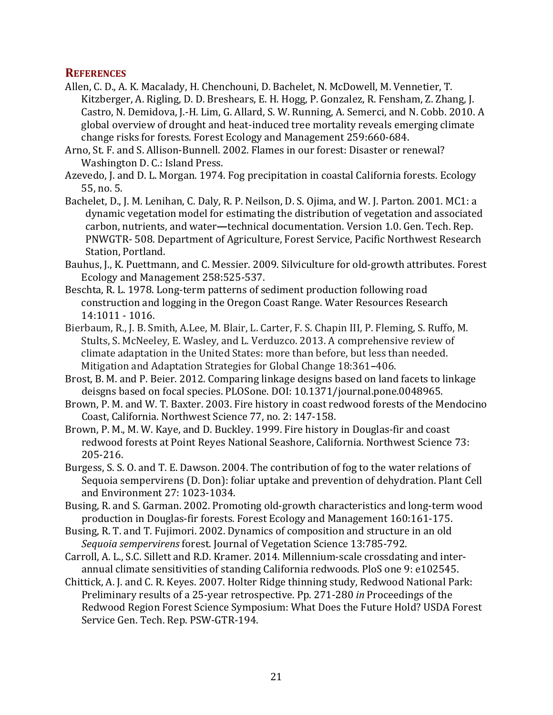### **REFERENCES**

- Allen, C. D., A. K. Macalady, H. Chenchouni, D. Bachelet, N. McDowell, M. Vennetier, T. Kitzberger, A. Rigling, D. D. Breshears, E. H. Hogg, P. Gonzalez, R. Fensham, Z. Zhang, J. Castro, N. Demidova, J.-H. Lim, G. Allard, S. W. Running, A. Semerci, and N. Cobb. 2010. A global overview of drought and heat-induced tree mortality reveals emerging climate change risks for forests. Forest Ecology and Management 259:660-684.
- Arno, St. F. and S. Allison-Bunnell. 2002. Flames in our forest: Disaster or renewal? Washington D. C.: Island Press.
- Azevedo, J. and D. L. Morgan. 1974. Fog precipitation in coastal California forests. Ecology 55, no. 5.
- Bachelet, D., J. M. Lenihan, C. Daly, R. P. Neilson, D. S. Ojima, and W. J. Parton. 2001. MC1: a dynamic vegetation model for estimating the distribution of vegetation and associated carbon, nutrients, and water—technical documentation. Version 1.0. Gen. Tech. Rep. PNWGTR- 508. Department of Agriculture, Forest Service, Pacific Northwest Research Station, Portland.
- Bauhus, J., K. Puettmann, and C. Messier. 2009. Silviculture for old-growth attributes. Forest Ecology and Management 258:525-537.
- Beschta, R. L. 1978. Long-term patterns of sediment production following road construction and logging in the Oregon Coast Range. Water Resources Research 14:1011 - 1016.
- Bierbaum, R., J. B. Smith, A.Lee, M. Blair, L. Carter, F. S. Chapin III, P. Fleming, S. Ruffo, M. Stults, S. McNeeley, E. Wasley, and L. Verduzco. 2013. A comprehensive review of climate adaptation in the United States: more than before, but less than needed. Mitigation and Adaptation Strategies for Global Change 18:361-406.
- Brost, B. M. and P. Beier. 2012. Comparing linkage designs based on land facets to linkage deisgns based on focal species. PLOSone. DOI: 10.1371/journal.pone.0048965.
- Brown, P. M. and W. T. Baxter. 2003. Fire history in coast redwood forests of the Mendocino Coast, California. Northwest Science 77, no. 2: 147-158.
- Brown, P. M., M. W. Kaye, and D. Buckley. 1999. Fire history in Douglas-fir and coast redwood forests at Point Reyes National Seashore, California. Northwest Science 73: 205-216.
- Burgess, S. S. O. and T. E. Dawson. 2004. The contribution of fog to the water relations of Sequoia sempervirens (D. Don): foliar uptake and prevention of dehydration. Plant Cell and Environment 27: 1023-1034.
- Busing, R. and S. Garman. 2002. Promoting old-growth characteristics and long-term wood production in Douglas-fir forests. Forest Ecology and Management 160:161-175.
- Busing, R. T. and T. Fujimori. 2002. Dynamics of composition and structure in an old Sequoia sempervirens forest. Journal of Vegetation Science 13:785-792.
- Carroll, A. L., S.C. Sillett and R.D. Kramer. 2014. Millennium-scale crossdating and interannual climate sensitivities of standing California redwoods. PloS one 9: e102545.
- Chittick, A. J. and C. R. Keyes. 2007. Holter Ridge thinning study, Redwood National Park: Preliminary results of a 25-year retrospective. Pp. 271-280 *in* Proceedings of the Redwood Region Forest Science Symposium: What Does the Future Hold? USDA Forest Service Gen. Tech. Rep. PSW-GTR-194.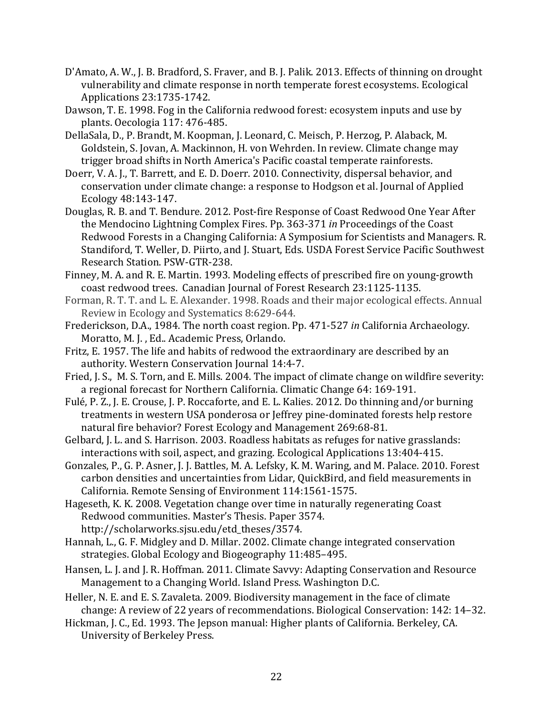- D'Amato, A. W., J. B. Bradford, S. Fraver, and B. J. Palik. 2013. Effects of thinning on drought vulnerability and climate response in north temperate forest ecosystems. Ecological Applications 23:1735-1742.
- Dawson, T. E. 1998. Fog in the California redwood forest: ecosystem inputs and use by plants. Oecologia 117: 476-485.
- DellaSala, D., P. Brandt, M. Koopman, J. Leonard, C. Meisch, P. Herzog, P. Alaback, M. Goldstein, S. Jovan, A. Mackinnon, H. von Wehrden. In review. Climate change may trigger broad shifts in North America's Pacific coastal temperate rainforests.
- Doerr, V. A. J., T. Barrett, and E. D. Doerr. 2010. Connectivity, dispersal behavior, and conservation under climate change: a response to Hodgson et al. Journal of Applied Ecology 48:143-147.
- Douglas, R. B. and T. Bendure. 2012. Post-fire Response of Coast Redwood One Year After the Mendocino Lightning Complex Fires. Pp. 363-371 *in* Proceedings of the Coast Redwood Forests in a Changing California: A Symposium for Scientists and Managers. R. Standiford, T. Weller, D. Piirto, and J. Stuart, Eds. USDA Forest Service Pacific Southwest Research Station. PSW-GTR-238.
- Finney, M. A. and R. E. Martin. 1993. Modeling effects of prescribed fire on young-growth coast redwood trees. Canadian Journal of Forest Research 23:1125-1135.
- Forman, R. T. T. and L. E. Alexander. 1998. Roads and their major ecological effects. Annual Review in Ecology and Systematics 8:629-644.
- Frederickson, D.A., 1984. The north coast region. Pp. 471-527 *in* California Archaeology. Moratto, M. J., Ed.. Academic Press, Orlando.
- Fritz, E. 1957. The life and habits of redwood the extraordinary are described by an authority. Western Conservation Journal 14:4-7.
- Fried, J. S., M. S. Torn, and E. Mills. 2004. The impact of climate change on wildfire severity: a regional forecast for Northern California. Climatic Change 64: 169-191.
- Fulé, P. Z., J. E. Crouse, J. P. Roccaforte, and E. L. Kalies. 2012. Do thinning and/or burning treatments in western USA ponderosa or Jeffrey pine-dominated forests help restore natural fire behavior? Forest Ecology and Management 269:68-81.
- Gelbard, J. L. and S. Harrison. 2003. Roadless habitats as refuges for native grasslands: interactions with soil, aspect, and grazing. Ecological Applications 13:404-415.
- Gonzales, P., G. P. Asner, J. J. Battles, M. A. Lefsky, K. M. Waring, and M. Palace. 2010. Forest carbon densities and uncertainties from Lidar, QuickBird, and field measurements in California. Remote Sensing of Environment 114:1561-1575.
- Hageseth, K. K. 2008. Vegetation change over time in naturally regenerating Coast Redwood communities. Master's Thesis. Paper 3574. http://scholarworks.sjsu.edu/etd\_theses/3574.
- Hannah, L., G. F. Midgley and D. Millar. 2002. Climate change integrated conservation strategies. Global Ecology and Biogeography 11:485-495.
- Hansen, L. J. and J. R. Hoffman. 2011. Climate Savvy: Adapting Conservation and Resource Management to a Changing World. Island Press. Washington D.C.
- Heller, N. E. and E. S. Zavaleta. 2009. Biodiversity management in the face of climate change: A review of 22 years of recommendations. Biological Conservation: 142: 14-32.
- Hickman, J. C., Ed. 1993. The Jepson manual: Higher plants of California. Berkeley, CA. University of Berkeley Press.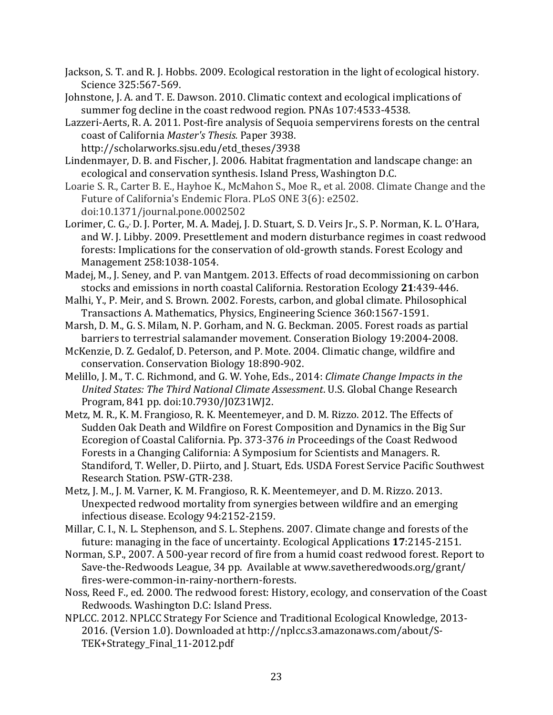Jackson, S. T. and R. J. Hobbs. 2009. Ecological restoration in the light of ecological history. Science 325:567-569.

Johnstone, J. A. and T. E. Dawson. 2010. Climatic context and ecological implications of summer fog decline in the coast redwood region. PNAs 107:4533-4538.

Lazzeri-Aerts, R. A. 2011. Post-fire analysis of Sequoia sempervirens forests on the central coast of California *Master's Thesis.* Paper 3938. 

http://scholarworks.sjsu.edu/etd\_theses/3938 

Lindenmayer, D. B. and Fischer, J. 2006. Habitat fragmentation and landscape change: an ecological and conservation synthesis. Island Press, Washington D.C.

Loarie S. R., Carter B. E., Hayhoe K., McMahon S., Moe R., et al. 2008. Climate Change and the Future of California's Endemic Flora. PLoS ONE 3(6): e2502. doi:10.1371/journal.pone.0002502

Lorimer, C. G., D. J. Porter, M. A. Madej, J. D. Stuart, S. D. Veirs Jr., S. P. Norman, K. L. O'Hara, and W. J. Libby. 2009. Presettlement and modern disturbance regimes in coast redwood forests: Implications for the conservation of old-growth stands. Forest Ecology and Management 258:1038-1054.

Madej, M., J. Seney, and P. van Mantgem. 2013. Effects of road decommissioning on carbon stocks and emissions in north coastal California. Restoration Ecology 21:439-446.

Malhi, Y., P. Meir, and S. Brown. 2002. Forests, carbon, and global climate. Philosophical Transactions A. Mathematics, Physics, Engineering Science 360:1567-1591.

Marsh, D. M., G. S. Milam, N. P. Gorham, and N. G. Beckman. 2005. Forest roads as partial barriers to terrestrial salamander movement. Conseration Biology 19:2004-2008.

McKenzie, D. Z. Gedalof, D. Peterson, and P. Mote. 2004. Climatic change, wildfire and conservation. Conservation Biology 18:890-902.

Melillo, J. M., T. C. Richmond, and G. W. Yohe, Eds., 2014: *Climate Change Impacts in the United States: The Third National Climate Assessment*. U.S. Global Change Research Program, 841 pp. doi:10.7930/J0Z31WJ2.

Metz, M. R., K. M. Frangioso, R. K. Meentemeyer, and D. M. Rizzo. 2012. The Effects of Sudden Oak Death and Wildfire on Forest Composition and Dynamics in the Big Sur Ecoregion of Coastal California. Pp. 373-376 *in* Proceedings of the Coast Redwood Forests in a Changing California: A Symposium for Scientists and Managers. R. Standiford, T. Weller, D. Piirto, and J. Stuart, Eds. USDA Forest Service Pacific Southwest Research Station. PSW-GTR-238.

Metz, J. M., J. M. Varner, K. M. Frangioso, R. K. Meentemeyer, and D. M. Rizzo. 2013. Unexpected redwood mortality from synergies between wildfire and an emerging infectious disease. Ecology 94:2152-2159.

Millar, C. I., N. L. Stephenson, and S. L. Stephens. 2007. Climate change and forests of the future: managing in the face of uncertainty. Ecological Applications 17:2145-2151.

Norman, S.P., 2007. A 500-year record of fire from a humid coast redwood forest. Report to Save-the-Redwoods League, 34 pp. Available at www.savetheredwoods.org/grant/ fires-were-common-in-rainy-northern-forests.

Noss, Reed F., ed. 2000. The redwood forest: History, ecology, and conservation of the Coast Redwoods. Washington D.C: Island Press.

NPLCC. 2012. NPLCC Strategy For Science and Traditional Ecological Knowledge, 2013-2016. (Version 1.0). Downloaded at http://nplcc.s3.amazonaws.com/about/S-TEK+Strategy\_Final\_11-2012.pdf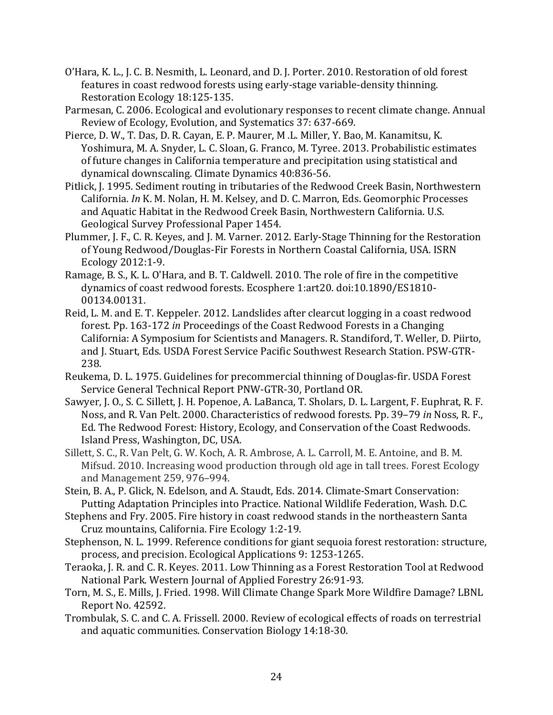O'Hara, K. L., J. C. B. Nesmith, L. Leonard, and D. J. Porter. 2010. Restoration of old forest features in coast redwood forests using early-stage variable-density thinning. Restoration Ecology 18:125-135.

Parmesan, C. 2006. Ecological and evolutionary responses to recent climate change. Annual Review of Ecology, Evolution, and Systematics 37: 637-669.

- Pierce, D. W., T. Das, D. R. Cayan, E. P. Maurer, M.L. Miller, Y. Bao, M. Kanamitsu, K. Yoshimura, M. A. Snyder, L. C. Sloan, G. Franco, M. Tyree. 2013. Probabilistic estimates of future changes in California temperature and precipitation using statistical and dynamical downscaling. Climate Dynamics 40:836-56.
- Pitlick, J. 1995. Sediment routing in tributaries of the Redwood Creek Basin, Northwestern California. *In* K. M. Nolan, H. M. Kelsey, and D. C. Marron, Eds. Geomorphic Processes and Aquatic Habitat in the Redwood Creek Basin, Northwestern California. U.S. Geological Survey Professional Paper 1454.
- Plummer, J. F., C. R. Keyes, and J. M. Varner. 2012. Early-Stage Thinning for the Restoration of Young Redwood/Douglas-Fir Forests in Northern Coastal California, USA, ISRN Ecology 2012:1-9.
- Ramage, B. S., K. L. O'Hara, and B. T. Caldwell. 2010. The role of fire in the competitive dynamics of coast redwood forests. Ecosphere 1:art20. doi:10.1890/ES1810-00134.00131.
- Reid, L. M. and E. T. Keppeler. 2012. Landslides after clearcut logging in a coast redwood forest. Pp. 163-172 *in* Proceedings of the Coast Redwood Forests in a Changing California: A Symposium for Scientists and Managers. R. Standiford, T. Weller, D. Piirto, and J. Stuart, Eds. USDA Forest Service Pacific Southwest Research Station. PSW-GTR-238.
- Reukema, D. L. 1975. Guidelines for precommercial thinning of Douglas-fir. USDA Forest Service General Technical Report PNW-GTR-30, Portland OR.
- Sawyer, J. O., S. C. Sillett, J. H. Popenoe, A. LaBanca, T. Sholars, D. L. Largent, F. Euphrat, R. F. Noss, and R. Van Pelt. 2000. Characteristics of redwood forests. Pp. 39–79 *in* Noss, R. F., Ed. The Redwood Forest: History, Ecology, and Conservation of the Coast Redwoods. Island Press, Washington, DC, USA.
- Sillett, S. C., R. Van Pelt, G. W. Koch, A. R. Ambrose, A. L. Carroll, M. E. Antoine, and B. M. Mifsud. 2010. Increasing wood production through old age in tall trees. Forest Ecology and Management 259, 976-994.
- Stein, B. A., P. Glick, N. Edelson, and A. Staudt, Eds. 2014. Climate-Smart Conservation: Putting Adaptation Principles into Practice. National Wildlife Federation, Wash. D.C.
- Stephens and Fry. 2005. Fire history in coast redwood stands in the northeastern Santa Cruz mountains, California. Fire Ecology 1:2-19.
- Stephenson, N. L. 1999. Reference conditions for giant sequoia forest restoration: structure, process, and precision. Ecological Applications 9: 1253-1265.
- Teraoka, J. R. and C. R. Keyes. 2011. Low Thinning as a Forest Restoration Tool at Redwood National Park. Western Journal of Applied Forestry 26:91-93.
- Torn, M. S., E. Mills, J. Fried. 1998. Will Climate Change Spark More Wildfire Damage? LBNL Report No. 42592.
- Trombulak, S. C. and C. A. Frissell. 2000. Review of ecological effects of roads on terrestrial and aquatic communities. Conservation Biology 14:18-30.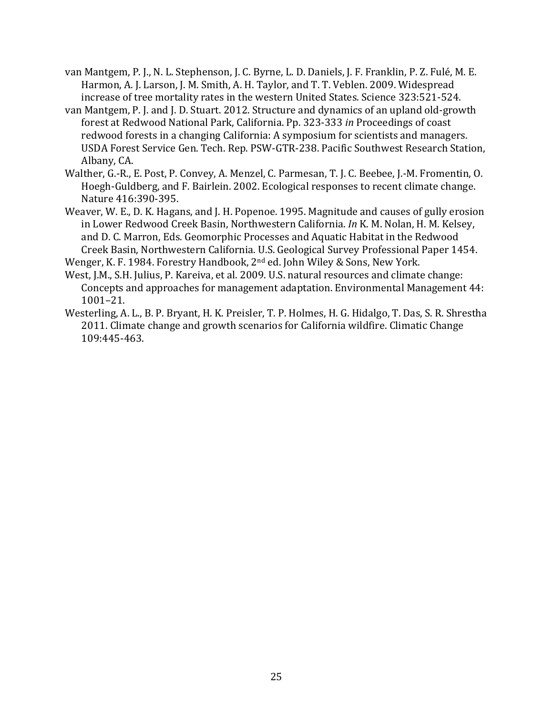- van Mantgem, P. J., N. L. Stephenson, J. C. Byrne, L. D. Daniels, J. F. Franklin, P. Z. Fulé, M. E. Harmon, A. J. Larson, J. M. Smith, A. H. Taylor, and T. T. Veblen. 2009. Widespread increase of tree mortality rates in the western United States. Science 323:521-524.
- van Mantgem, P. J. and J. D. Stuart. 2012. Structure and dynamics of an upland old-growth forest at Redwood National Park, California. Pp. 323-333 *in* Proceedings of coast redwood forests in a changing California: A symposium for scientists and managers. USDA Forest Service Gen. Tech. Rep. PSW-GTR-238. Pacific Southwest Research Station, Albany, CA.
- Walther, G.-R., E. Post, P. Convey, A. Menzel, C. Parmesan, T. J. C. Beebee, J.-M. Fromentin, O. Hoegh-Guldberg, and F. Bairlein. 2002. Ecological responses to recent climate change. Nature 416:390-395.
- Weaver, W. E., D. K. Hagans, and J. H. Popenoe. 1995. Magnitude and causes of gully erosion in Lower Redwood Creek Basin, Northwestern California. *In* K. M. Nolan, H. M. Kelsey, and D. C. Marron, Eds. Geomorphic Processes and Aquatic Habitat in the Redwood Creek Basin, Northwestern California. U.S. Geological Survey Professional Paper 1454.
- Wenger, K. F. 1984. Forestry Handbook,  $2<sup>nd</sup>$  ed. John Wiley & Sons, New York.
- West, J.M., S.H. Julius, P. Kareiva, et al. 2009. U.S. natural resources and climate change: Concepts and approaches for management adaptation. Environmental Management 44: 1001–21.
- Westerling, A. L., B. P. Bryant, H. K. Preisler, T. P. Holmes, H. G. Hidalgo, T. Das, S. R. Shrestha 2011. Climate change and growth scenarios for California wildfire. Climatic Change 109:445-463.